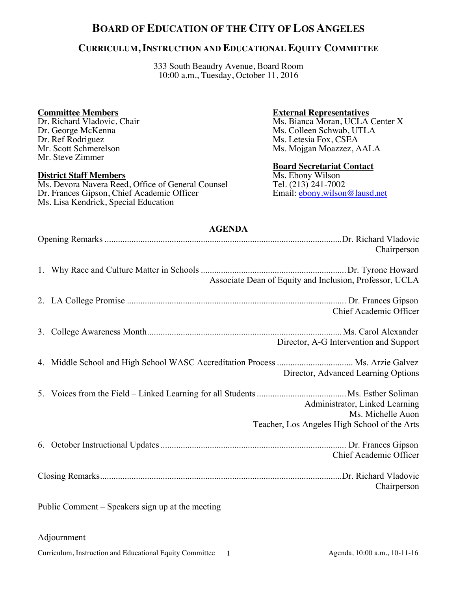# **BOARD OF EDUCATION OF THE CITY OF LOS ANGELES**

## **CURRICULUM, INSTRUCTION AND EDUCATIONAL EQUITY COMMITTEE**

333 South Beaudry Avenue, Board Room 10:00 a.m., Tuesday, October 11, 2016

### **Committee Members**

Dr. Richard Vladovic, Chair Dr. George McKenna Dr. Ref Rodriguez Mr. Scott Schmerelson Mr. Steve Zimmer

#### **District Staff Members**

Ms. Devora Navera Reed, Office of General Counsel Dr. Frances Gipson, Chief Academic Officer Ms. Lisa Kendrick, Special Education

#### **External Representatives**

Ms. Bianca Moran, UCLA Center X Ms. Colleen Schwab, UTLA Ms. Letesia Fox, CSEA Ms. Mojgan Moazzez, AALA

#### **Board Secretariat Contact**

Ms. Ebony Wilson Tel. (213) 241-7002 Email: ebony.wilson@lausd.net

# **AGENDA**

| Chairperson                                                                                         |
|-----------------------------------------------------------------------------------------------------|
| Associate Dean of Equity and Inclusion, Professor, UCLA                                             |
| Chief Academic Officer                                                                              |
| Director, A-G Intervention and Support                                                              |
| Director, Advanced Learning Options                                                                 |
| Administrator, Linked Learning<br>Ms. Michelle Auon<br>Teacher, Los Angeles High School of the Arts |
| Chief Academic Officer                                                                              |
| Chairperson                                                                                         |
| Public Comment – Speakers sign up at the meeting                                                    |

### Adjournment